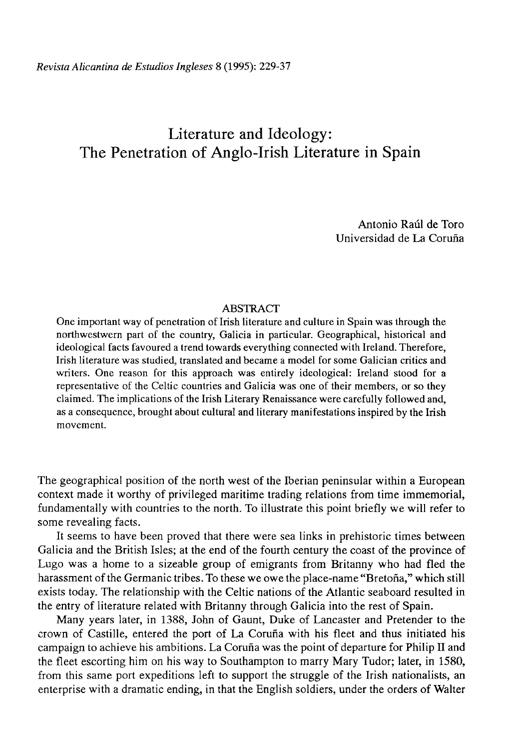# Literature and Ideology: The Penetration of Anglo-Irish Literature in Spain

Antonio Raúl de Toro Universidad de La Coruña

## ABSTRACT

One important way of penetration of Irish literature and culture in Spain was through the northwestwern part of the country, Galicia in particular. Geographical, historical and ideological facts favoured a trend towards everything connected with Ireland. Therefore, Irish literature was studied, translated and became a model for some Galician critics and writers. One reason for this approach was entirely ideological: Ireland stood for a representative of the Celtic countries and Galicia was one of their members, or so they claimed. The implications of the Irish Literary Renaissance were carefully followed and, as a consequence, brought about cultural and literary manifestations inspired by the Irish movement.

The geographical position of the north west of the Iberian peninsular within a European context made it worthy of privileged maritime trading relations from time immemorial, fundamentally with countries to the north. To illustrate this point briefly we will refer to some revealing facts.

It seems to have been proved that there were sea links in prehistoric times between Galicia and the British Isles; at the end of the fourth century the coast of the province of Lugo was a home to a sizeable group of emigrants from Britanny who had fled the harassment of the Germanic tribes. To these we owe the place-name "Bretona," which still exists today. The relationship with the Celtic nations of the Atlantic seaboard resulted in the entry of literature related with Britanny through Galicia into the rest of Spain.

Many years later, in 1388, John of Gaunt, Duke of Lancaster and Pretender to the crown of Castille, entered the port of La Coruña with his fleet and thus initiated his campaign to achieve his ambitions. La Coruña was the point of departure for Philip II and the fleet escorting him on his way to Southampton to marry Mary Tudor; later, in 1580, from this same port expeditions left to support the struggle of the Irish nationalists, an enterprise with a dramatic ending, in that the English soldiers, under the orders of Walter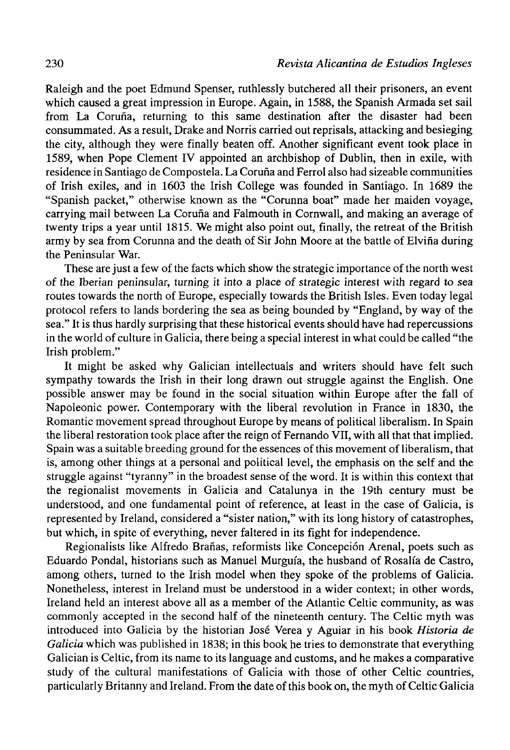Raleigh and the poet Edmund Spenser, ruthlessly butchered all their prisoners, an event which caused a great impression in Europe. Again, in 1588, the Spanish Armada set sail from La Coruña, returning to this same destination after the disaster had been consummated. As a result, Drake and Norris carried out reprisals, attacking and besieging the city, although they were finally beaten off. Another significant event took place in 1589, when Pope Clement IV appointed an archbishop of Dublin, then in exile, with residence in Santiago de Compostela. La Coruña and Ferrol also had sizeable communities of Irish exiles, and in 1603 the Irish College was founded in Santiago. In 1689 the "Spanish packet," otherwise known as the "Corunna boat" made her maiden voyage, carrying mail between La Coruña and Falmouth in Cornwall, and making an average of twenty trips a year until 1815. We might also point out, finally, the retreat of the British army by sea from Corunna and the death of Sir John Moore at the battle of Elviña during the Peninsular War.

These are just a few of the facts which show the strategic importance of the north west of the Iberian peninsular, turning it into a place of strategic interest with regard to sea routes towards the north of Europe, especially towards the British Isles. Even today legal protocol refers to lands bordering the sea as being bounded by "England, by way of the sea." It is thus hardly surprising that these historical events should have had repercussions in the world of culture in Galicia, there being a special interest in what could be called "the Irish problem."

It might be asked why Galician intellectuals and writers should have felt such sympathy towards the Irish in their long drawn out struggle against the English. One possible answer may be found in the social situation within Europe after the fall of Napoleonic power. Contemporary with the liberal revolution in France in 1830, the Romantic movement spread throughout Europe by means of political liberalism. In Spain the liberal restoration took place after the reign of Fernando VII, with all that that implied. Spain was a suitable breeding ground for the essences of this movement of liberalism, that is, among other things at a personal and political level, the emphasis on the self and the struggle against "tyranny" in the broadest sense of the word. It is within this context that the regionalist movements in Galicia and Catalunya in the 19th century must be understood, and one fundamental point of reference, at least in the case of Galicia, is represented by Ireland, considered a "sister nation," with its long history of catastrophes, but which, in spite of everything, never faltered in its fight for independence.

Regionalists like Alfredo Brañas, reformists like Concepción Arenal, poets such as Eduardo Pondal, historians such as Manuel Murguía, the husband of Rosalía de Castro, among others, turned to the Irish model when they spoke of the problems of Galicia. Nonetheless, interest in Ireland must be understood in a wider context; in other words, Ireland held an interest above all as a member of the Atlantic Celtic community, as was commonly accepted in the second half of the nineteenth century. The Celtic myth was introduced into Galicia by the historian José Verea y Aguiar in his book *Historia de Galicia* which was published in 1838; in this book he tries to demonstrate that everything Galician is Celtic, from its name to its language and customs, and he makes a comparative study of the cultural manifestations of Galicia with those of other Celtic countries, particularly Britanny and Ireland. From the date of this book on, the myth of Celtic Galicia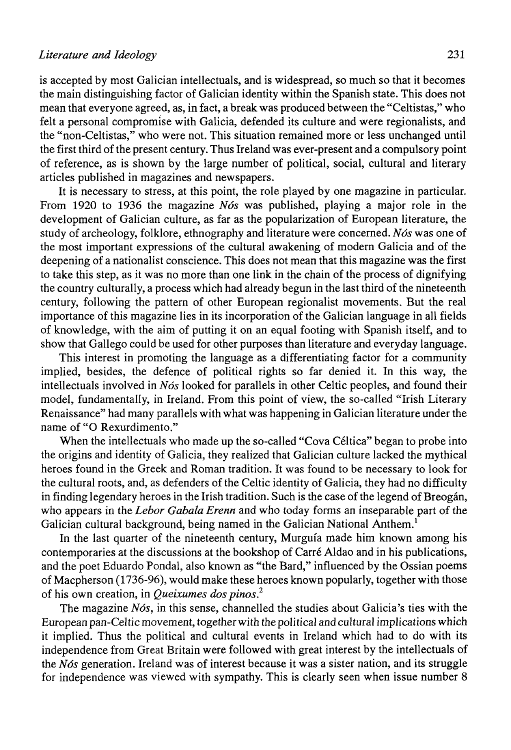## *Literature and Ideology* 231

is accepted by most Galician intellectuals, and is widespread, so much so that it becomes the main distinguishing factor of Galician identity within the Spanish state. This does not mean that everyone agreed, as, in fact, a break was produced between the "Celtistas," who felt a personal compromise with Galicia, defended its culture and were regionalists, and the "non-Celtistas," who were not. This situation remained more or less unchanged until the first third of the present century. Thus Ireland was ever-present and a compulsory point of reference, as is shown by the large number of political, social, cultural and literary articles published in magazines and newspapers.

It is necessary to stress, at this point, the role played by one magazine in particular. From 1920 to 1936 the magazine *Nos* was published, playing a major role in the development of Galician culture, as far as the popularization of European literature, the study of archeology, folklore, ethnography and literature were concerned. *Nos* was one of the most important expressions of the cultural awakening of modern Galicia and of the deepening of a nationalist conscience. This does not mean that this magazine was the first to take this step, as it was no more than one link in the chain of the process of dignifying the country culturally, a process which had already begun in the last third of the nineteenth century, following the pattern of other European regionalist movements. But the real importance of this magazine lies in its incorporation of the Galician language in all fields of knowledge, with the aim of putting it on an equal footing with Spanish itself, and to show that Gallego could be used for other purposes than literature and everyday language.

This interest in promoting the language as a differentiating factor for a community implied, besides, the defence of political rights so far denied it. In this way, the intellectuals involved in *Nos* looked for parallels in other Celtic peoples, and found their model, fundamentally, in Ireland. From this point of view, the so-called "Irish Literary Renaissance" had many parallels with what was happening in Galician literature under the name of "O Rexurdimento."

When the intellectuals who made up the so-called "Cova Céltica" began to probe into the origins and identity of Galicia, they realized that Galician culture lacked the mythical heroes found in the Greek and Roman tradition. It was found to be necessary to look for the cultural roots, and, as defenders of the Celtic identity of Galicia, they had no difficulty in finding legendary héroes in the Irish tradition. Such is the case of the legend of Breogán, who appears in the *Lebor Gabala Erenn* and who today forms an inseparable part of the Galician cultural background, being named in the Galician National Anthem.<sup>1</sup>

In the last quarter of the nineteenth century, Murguía made him known among his contemporaries at the discussions at the bookshop of Carré Aldao and in his publications, and the poet Eduardo Pondal, also known as "the Bard," influenced by the Ossian poems of Macpherson (1736-96), would make these héroes known popularly, together with those of his own creation, in *Queixumes dos pinos.<sup>2</sup>*

The magazine *Nos,* in this sense, channelled the studies about Galicia's ties with the European pan-Celtic movement, together with the political and cultural implications which it implied. Thus the political and cultural events in Ireland which had to do with its independence from Great Britain were followed with great interest by the intellectuals of *the Nos* generation. Ireland was of interest because it was a sister nation, and its struggle for independence was viewed with sympathy. This is clearly seen when issue number 8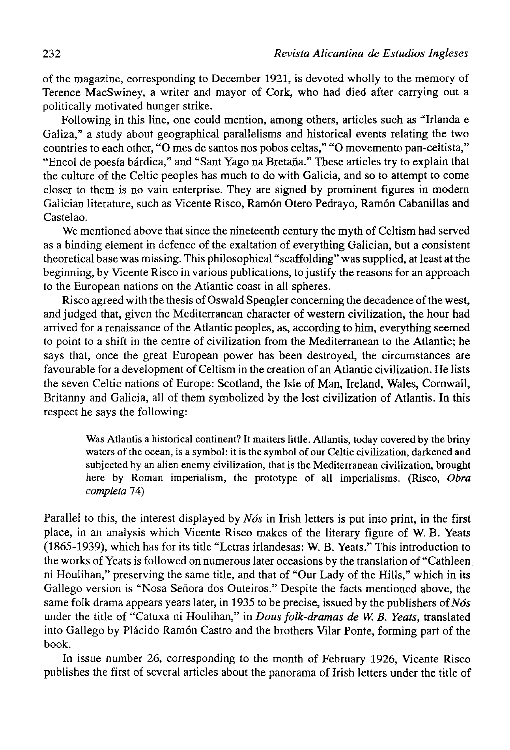of the magazine, corresponding to December 1921, is devoted wholly to the memory of Terence MacSwiney, a writer and mayor of Cork, who had died after carrying out a politically motivated hunger strike.

Following in this line, one could mention, among others, articles such as "Irlanda e Galiza," a study about geographical parallelisms and historical events relating the two countries to each other, "O mes de santos nos pobos celtas," "O movemento pan-celtista," "Encol de poesía bárdica," and "Sant Yago na Bretaña." These articles try to explain that the culture of the Celtic peoples has much to do with Galicia, and so to attempt to come closer to them is no vain enterprise. They are signed by prominent figures in modern Galician literature, such as Vicente Risco, Ramón Otero Pedrayo, Ramón Cabanillas and Castelao.

We mentioned above that since the nineteenth century the myth of Celtism had served as a binding element in defence of the exaltation of everything Galician, but a consistent theoretical base was missing. This philosophical "scaffolding" was supplied, at least at the beginning, by Vicente Risco in various publications, to justify the reasons for an approach to the European nations on the Atlantic coast in all spheres.

Risco agreed with the thesis of Oswald Spengler concerning the decadence of the west, and judged that, given the Mediterranean character of western civilization, the hour had arrived for a renaissance of the Atlantic peoples, as, according to him, everything seemed to point to a shift in the centre of civilization from the Mediterranean to the Atlantic; he says that, once the great European power has been destroyed, the circumstances are favourable for a development of Celtism in the creation of an Atlantic civilization. He lists the seven Celtic nations of Europe: Scotland, the Isle of Man, Ireland, Wales, Cornwall, Britanny and Galicia, all of them symbolized by the lost civilization of Atlantis. In this respect he says the following:

Was Atlantis a historical continent? It maiters little. Atlantis, today covered by the briny waters of the ocean, is a symbol: it is the symbol of our Celtic civilization, darkened and subjected by an alien enemy civilization, that is the Mediterranean civilization, brought here by Román imperialism, the prototype of all imperialisms. (Risco, *Obra completa* 74)

Parallel to this, the interest displayed by *Nos* in Irish letters is put into print, in the first place, in an analysis which Vicente Risco makes of the literary figure of W. B. Yeats (1865-1939), which has for its title "Letras irlandesas: W. B. Yeats." This introduction to the works of Yeats is followed on numerous later occasions by the translation of "Cathleen ni Houlihan," preserving the same title, and that of "Our Lady of the Hills," which in its Gallego versión is "Nosa Señora dos Outeiros." Despite the facts mentioned above, the same folk drama appears years later, in 1935 to be precise, issued by the publishers of *Nos*  under the title of "Catuxa ni Houlihan," in *Dous folk-dramas deW.B. Yeats,* translated into Gallego by Plácido Ramón Castro and the brothers Vilar Ponte, forming part of the book.

In issue number 26, corresponding to the month of February 1926, Vicente Risco publishes the first of several articles about the panorama of Irish letters under the title of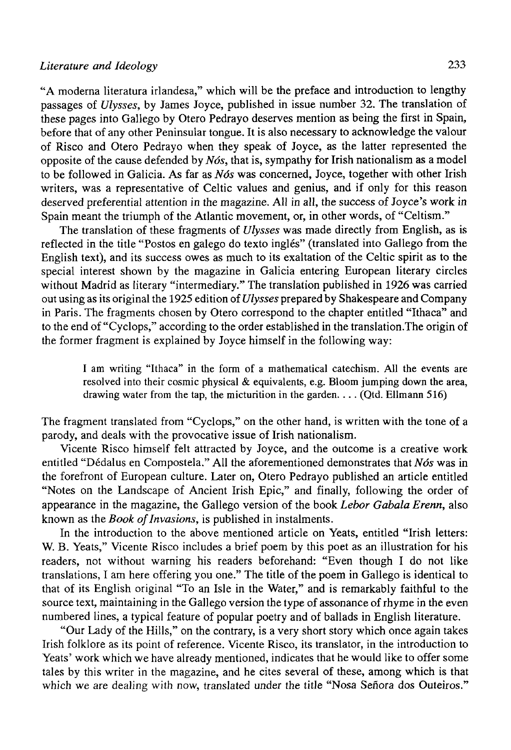## *Literature and Ideology* 233

"A moderna literatura irlandesa," which will be the preface and introduction to lengthy passages of *Ulysses,* by James Joyce, published in issue number 32. The translation of these pages into Gallego by Otero Pedrayo deserves mention as being the first in Spain, before that of any other Peninsular tongue. It is also necessary to acknowledge the valour of Risco and Otero Pedrayo when they speak of Joyce, as the latter represented the opposite of the cause defended by *Nos,* that is, sympathy for Irish nationalism as a model to be followed in Galicia. As far as *Nos* was concerned, Joyce, together with other Irish writers, was a representative of Celtic values and genius, and if only for this reason deserved preferential attention in the magazine. All in all, the success of Joyce's work in Spain meant the triumph of the Atlantic movement, or, in other words, of "Celtism."

The translation of these fragments of *Ulysses* was made directly from English, as is reflected in the title "Postos en galego do texto inglés" (translated into Gallego from the English text), and its success owes as much to its exaltation of the Celtic spirit as to the special interest shown by the magazine in Galicia entering European literary circles without Madrid as literary "intermediary." The translation published in 1926 was carried out using as its original the 1925 edition of *Ulysses* prepared by Shakespeare and Company in Paris. The fragments chosen by Otero correspond to the chapter entitled "Ithaca" and to the end of "Cyclops," according to the order established in the translation.The origin of the former fragment is explained by Joyce himself in the following way:

I am writing "Ithaca" in the form of a mathematical catechism. All the events are resolved into their cosmic physical  $\&$  equivalents, e.g. Bloom jumping down the area, drawing water from the tap, the micturition in the garden. .. . (Qtd. Ellmann 516)

The fragment translated from "Cyclops," on the other hand, is written with the tone of a parody, and deals with the provocative issue of Irish nationalism.

Vicente Risco himself felt attracted by Joyce, and the outcome is a creative work entitled "Dédalus en Compostela." All the aforementioned demonstrates that Nós was in the forefront of European culture. Later on, Otero Pedrayo published an article entitled "Notes on the Landscape of Ancient Irish Epic," and finally, following the order of appearance in the magazine, the Gallego versión of the book *Lebor Gabala Erenn,* also known as the *Book of Invasions,* is published in instalments.

In the introduction to the above mentioned article on Yeats, entitled "Irish letters: W. B. Yeats," Vicente Risco includes a brief poem by this poet as an illustration for his readers, not without warning his readers beforehand: "Even though I do not like translations, I am here offering you one." The title of the poem in Gallego is identical to that of its English original "To an Isle in the Water," and is remarkably faithful to the source text, maintaining in the Gallego version the type of assonance of rhyme in the even numbered lines, a typical feature of popular poetry and of ballads in English literature.

"Our Lady of the Hills," on the contrary, is a very short story which once again takes Irish folklore as its point of reference. Vicente Risco, its translator, in the introduction to Yeats' work which we have already mentioned, indicates that he would like to offer some tales by this writer in the magazine, and he cites several of these, among which is that which we are dealing with now, translated under the title "Nosa Señora dos Outeiros."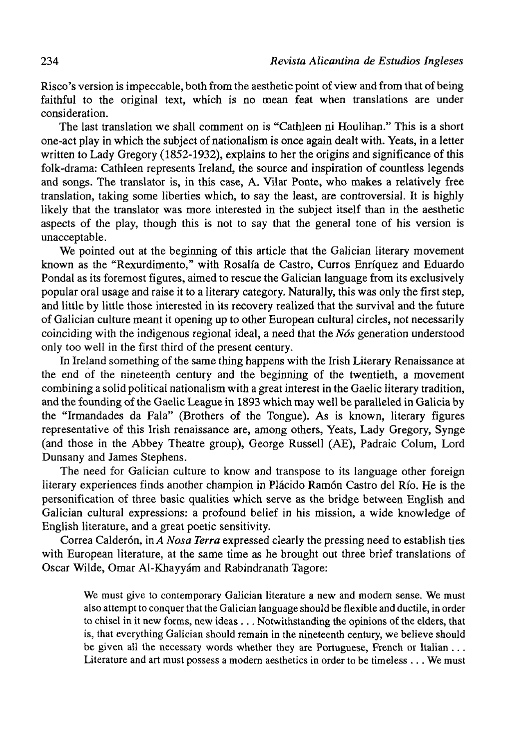Risco's versión is impeccable, both from the aesthetic point of view and from that of being faithful to the original text, which is no mean feat when translations are under consideration.

The last translation we shall comment on is "Cathleen ni Houlihan." This is a short one-act play in which the subject of nationalism is once again dealt with. Yeats, in a letter written to Lady Gregory (1852-1932), explains to her the origins and significance of this folk-drama: Cathleen represents Ireland, the source and inspiration of countless legends and songs. The translator is, in this case, A. Vilar Ponte, who makes a relatively free translation, taking some liberties which, to say the least, are controversial. It is highly likely that the translator was more interested in the subject itself than in the aesthetic aspects of the play, though this is not to say that the general tone of his version is unacceptable.

We pointed out at the beginning of this article that the Galician literary movement known as the "Rexurdimento," with Rosalía de Castro, Curros Enríquez and Eduardo Pondal as its foremost figures, aimed to rescue the Galician language from its exclusively popular oral usage and raise it to a literary category. Naturally, this was only the first step, and little by little those interested in its recovery realized that the survival and the future of Galician culture meant it opening up to other European cultural circles, not necessarily coinciding with the indigenous regional ideal, a need that the *Nos* generation understood only too well in the first third of the present century.

In Ireland something of the same thing happens with the Irish Literary Renaissance at the end of the nineteenth century and the beginning of the twentieth, a movement combining a solid political nationalism with a great interest in the Gaelic literary tradition, and the founding of the Gaelic League in 1893 which may well be paralleled in Galicia by the "Irmandades da Fala" (Brothers of the Tongue). As is known, literary figures representative of this Irish renaissance are, among others, Yeats, Lady Gregory, Synge (and those in the Abbey Theatre group), George Russell (AE), Padraic Colum, Lord Dunsany and James Stephens.

The need for Galician culture to know and transpose to its language other foreign literary experiences finds another champion in Plácido Ramón Castro del Río. He is the personification of three basic qualities which serve as the bridge between English and Galician cultural expressions: a profound belief in his mission, a wide knowledge of English literature, and a great poetic sensitivity.

Correa Calderón, *inA Nosa Terra* expressed clearly the pressing need to establish ties with European literature, at the same time as he brought out three brief translations of Osear Wilde, Ornar Al-Khayyám and Rabindranath Tagore:

We must give to contemporary Galician literature a new and modern sense. We must also attempt to conquer that the Galician language should be flexible and ductile, in order to chisel in it new forms, new ideas .. . Notwithstanding the opínions of the elders, that is, that everything Galician should remain in the nineteenth century, we believe should be given all the necessary words whether they are Portuguese, French or Italian .. . Literature and art must possess a modern aesthetics in order to be timeless .. . We must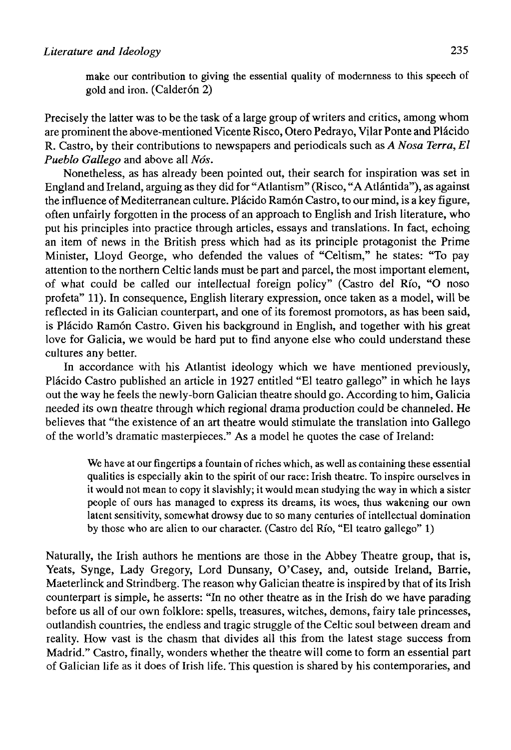make our contribution to giving the essential quality of modernness to this speech of gold and iron. (Calderón 2)

Precisely the latter was to be the task of a large group of writers and critics, among whom are prominent the above-mentioned Vicente Risco, Otero Pedrayo, Vilar Ponte and Plácido R. Castro, by their contributions to newspapers and periodicals such as *A Nosa Terra, El Pueblo Gallego* and above all *Nos.* 

Nonetheless, as has already been pointed out, their search for inspiration was set in England and Ireland, arguing as they did for "Atlantism" (Risco, "A Atlántida"), as against the influence of Mediterranean culture. Plácido Ramón Castro, to our mind, is a key figure, often unfairly forgotten in the process of an approach to English and Irish literature, who put his principies into practice through articles, essays and translations. In fact, echoing an item of news in the British press which had as its principie protagonist the Prime Minister, Lloyd George, who defended the values of "Celtism," he states: "To pay attention to the northern Celtic lands must be part and parcel, the most important element, of what could be called our intellectual foreign policy" (Castro del Río, "O noso profeta" 11). In consequence, English literary expression, once taken as a model, will be reflected in its Galician counterpart, and one of its foremost promotors, as has been said, is Plácido Ramón Castro. Given his background in English, and together with his great love for Galicia, we would be hard put to find anyone else who could understand these cultures any better.

In accordance with his Atlantist ideology which we have mentioned previously, Plácido Castro published an article in 1927 entitled "El teatro gallego" in which he lays out the way he feels the newly-born Galician theatre should go. According to him, Galicia needed its own theatre through which regional drama production could be channeled. He believes that "the existence of an art theatre would stimulate the translation into Gallego of the world's dramatic masterpieces." As a model he quotes the case of Ireland:

> We have at our fingertips a fountain of riches which, as well as containing these essential qualities is especially akin to the spirit of our race: Irish theatre. To inspire ourselves in it would not mean to copy it slavishly; it would mean studying the way in which a sister people of ours has managed to express its dreams, its woes, thus wakening our own latent sensitivity, somewhat drowsy due to so many centuries of intellectual domination by those who are alien to our character. (Castro del Río, "El teatro gallego" 1)

Naturally, the Irish authors he mentions are those in the Abbey Theatre group, that is, Yeats, Synge, Lady Gregory, Lord Dunsany, O'Casey, and, outside Ireland, Barrie, Maeterlinck and Strindberg. The reason why Galician theatre is inspired by that of its Irish counterpart is simple, he asserts: "In no other theatre as in the Irish do we have parading before us all of our own folklore: spells, treasures, witches, demons, fairy tale princesses, outlandish countries, the endless and tragic struggle of the Celtic soul between dream and reality. How vast is the chasm that divides all this from the latest stage success from Madrid." Castro, finally, wonders whether the theatre will come to form an essential part of Galician life as it does of Irish life. This question is shared by his contemporaries, and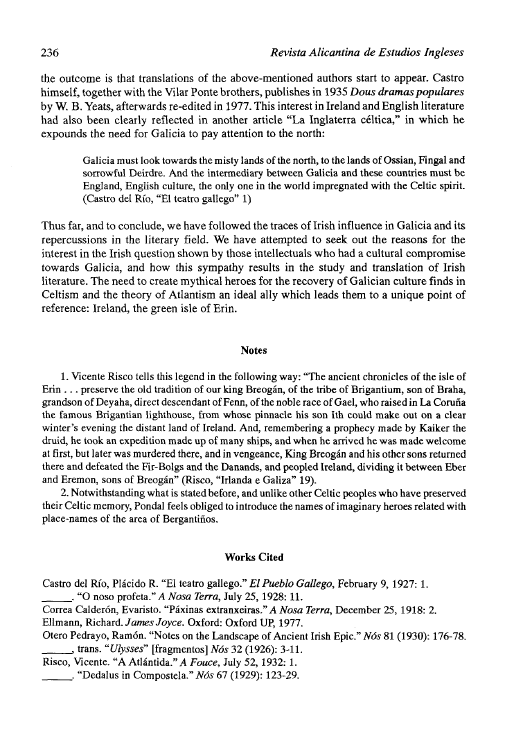the outcome is that translations of the above-mentioned authors start to appear. Castro himself, together with the Vilar Ponte brothers, publishes in 1935 *Dous dramas populares*  by W. B. Yeats, afterwards re-edited in 1977. This interest in Ireland and English literature had also been clearly reflected in another article "La Inglaterra céltica," in which he expounds the need for Galicia to pay attention to the north:

> Galicia must look towards the misty lands of the north, to the lands of Ossian, Fingal and sorrowful Deirdre. And the intermediary between Galicia and these countries must be England, English culture, the only one in the world impregnated with the Celtic spirit. (Castro del Río, "El teatro gallego" 1)

Thus far, and to conclude, we have followed the traces of Irish influence in Galicia and its repercussions in the literary field. We have attempted to seek out the reasons for the interest in the Irish question shown by those intellectuals who had a cultural compromise towards Galicia, and how this sympathy results in the study and translation of Irish literature. The need to create mythical heroes for the recovery of Galician culture finds in Celtism and the theory of Atlantism an ideal ally which leads them to a unique point of reference: Ireland, the green isle of Erin.

#### **Notes**

1. Vicente Risco tells this legend in the following way: "The ancient chronicles of the isle of Erin . .. preserve the oíd tradition of our king Breogán, of the tribe of Brigantium, son of Braha, grandson of Deyaha, direct descendant of Fenn, of the noble race of Gael, who raised in La Coruña the famous Brigantian lighthouse, from whose pinnacle his son Ith could make out on a clear winter's evening the distant land of Ireland. And, remembering a prophecy made by Kaiker the druid, he took an expedítion made up of many ships, and when he arrived he was made welcome at first, but later was murdered there, and in vengeance, King Breogán and his other sons returned there and defeated the Fir-Bolgs and the Danands, and peopled Ireland, dividing it between Eber and Eremon, sons of Breogán" (Risco, "Irlanda e Galiza" 19).

2. Notwithstanding what is stated before, and unlike other Celtic peoples who have preserved their Celtic memory, Pondal feels obliged to introduce the names of imaginary heroes related with place-names of the área of Bergantiños.

#### Works Cited

Castro del Río, Plácido R. "El teatro gallego." *El Pueblo Gallego,* February 9, 1927: 1.

. "O noso profeta." A *Nosa Terra,* July 25,1928: 11.

Correa Calderón, Evaristo. "Páxinas extranxeiras." *A Nosa Terra,* December 25, 1918: 2.

Ellmann, Richard. *James Joyce.* Oxford: Oxford UP, 1977.

- Otero Pedrayo, Ramón. "Notes on the Landscape of Ancient Irish Epic." *Nos* 81 (1930): 176-78. , trans. *"Ulysses"* [fragmentos] *Nos* 32 (1926): 3-11.
- Risco, Vicente. "A Atlántida." *A Fouce,* July 52, 1932: 1.

. "Dedalus in Compostela." *Nos* 67 (1929): 123-29.